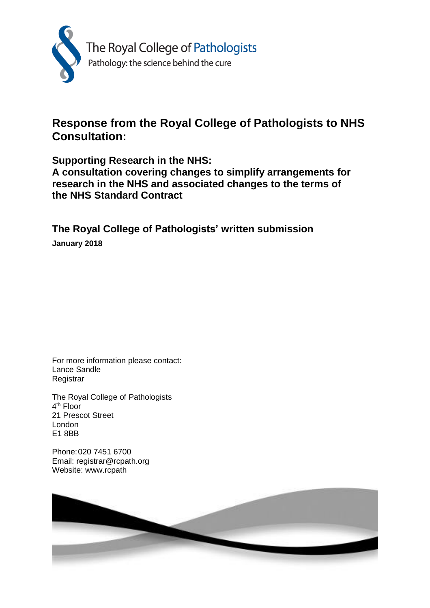

# **Response from the Royal College of Pathologists to NHS Consultation:**

**Supporting Research in the NHS:**

**A consultation covering changes to simplify arrangements for research in the NHS and associated changes to the terms of the NHS Standard Contract**

**The Royal College of Pathologists' written submission**

**January 2018**

For more information please contact: Lance Sandle **Registrar** 

The Royal College of Pathologists 4<sup>th</sup> Floor 21 Prescot Street London E1 8BB

Phone:020 7451 6700 Email: registrar@rcpath.org Website: www.rcpath

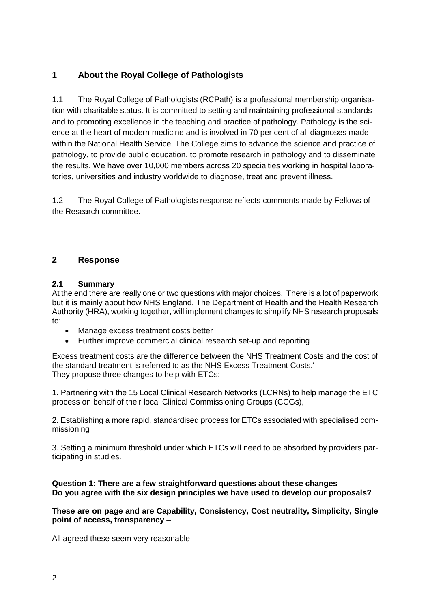# **1 About the Royal College of Pathologists**

1.1 The Royal College of Pathologists (RCPath) is a professional membership organisation with charitable status. It is committed to setting and maintaining professional standards and to promoting excellence in the teaching and practice of pathology. Pathology is the science at the heart of modern medicine and is involved in 70 per cent of all diagnoses made within the National Health Service. The College aims to advance the science and practice of pathology, to provide public education, to promote research in pathology and to disseminate the results. We have over 10,000 members across 20 specialties working in hospital laboratories, universities and industry worldwide to diagnose, treat and prevent illness.

1.2 The Royal College of Pathologists response reflects comments made by Fellows of the Research committee.

# **2 Response**

# **2.1 Summary**

At the end there are really one or two questions with major choices. There is a lot of paperwork but it is mainly about how NHS England, The Department of Health and the Health Research Authority (HRA), working together, will implement changes to simplify NHS research proposals to:

- Manage excess treatment costs better
- Further improve commercial clinical research set-up and reporting

Excess treatment costs are the difference between the NHS Treatment Costs and the cost of the standard treatment is referred to as the NHS Excess Treatment Costs.' They propose three changes to help with ETCs:

1. Partnering with the 15 Local Clinical Research Networks (LCRNs) to help manage the ETC process on behalf of their local Clinical Commissioning Groups (CCGs),

2. Establishing a more rapid, standardised process for ETCs associated with specialised commissioning

3. Setting a minimum threshold under which ETCs will need to be absorbed by providers participating in studies.

## **Question 1: There are a few straightforward questions about these changes Do you agree with the six design principles we have used to develop our proposals?**

**These are on page and are Capability, Consistency, Cost neutrality, Simplicity, Single point of access, transparency –**

All agreed these seem very reasonable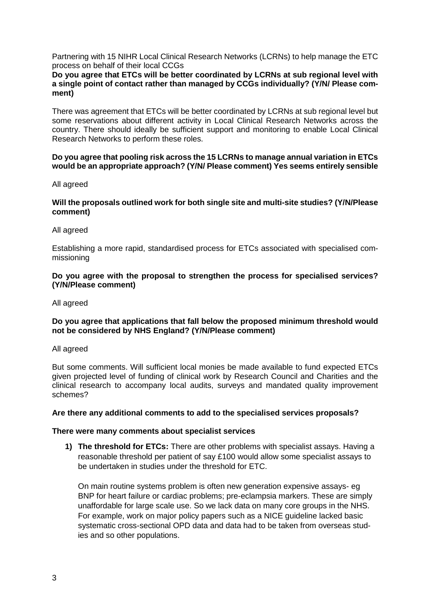Partnering with 15 NIHR Local Clinical Research Networks (LCRNs) to help manage the ETC process on behalf of their local CCGs

#### **Do you agree that ETCs will be better coordinated by LCRNs at sub regional level with a single point of contact rather than managed by CCGs individually? (Y/N/ Please comment)**

There was agreement that ETCs will be better coordinated by LCRNs at sub regional level but some reservations about different activity in Local Clinical Research Networks across the country. There should ideally be sufficient support and monitoring to enable Local Clinical Research Networks to perform these roles.

#### **Do you agree that pooling risk across the 15 LCRNs to manage annual variation in ETCs would be an appropriate approach? (Y/N/ Please comment) Yes seems entirely sensible**

All agreed

#### **Will the proposals outlined work for both single site and multi-site studies? (Y/N/Please comment)**

All agreed

Establishing a more rapid, standardised process for ETCs associated with specialised commissioning

#### **Do you agree with the proposal to strengthen the process for specialised services? (Y/N/Please comment)**

All agreed

#### **Do you agree that applications that fall below the proposed minimum threshold would not be considered by NHS England? (Y/N/Please comment)**

All agreed

But some comments. Will sufficient local monies be made available to fund expected ETCs given projected level of funding of clinical work by Research Council and Charities and the clinical research to accompany local audits, surveys and mandated quality improvement schemes?

## **Are there any additional comments to add to the specialised services proposals?**

#### **There were many comments about specialist services**

**1) The threshold for ETCs:** There are other problems with specialist assays. Having a reasonable threshold per patient of say £100 would allow some specialist assays to be undertaken in studies under the threshold for ETC.

On main routine systems problem is often new generation expensive assays- eg BNP for heart failure or cardiac problems; pre-eclampsia markers. These are simply unaffordable for large scale use. So we lack data on many core groups in the NHS. For example, work on major policy papers such as a NICE guideline lacked basic systematic cross-sectional OPD data and data had to be taken from overseas studies and so other populations.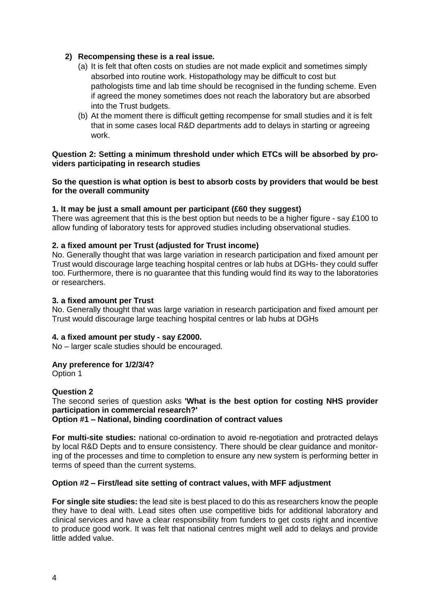# **2) Recompensing these is a real issue.**

- (a) It is felt that often costs on studies are not made explicit and sometimes simply absorbed into routine work. Histopathology may be difficult to cost but pathologists time and lab time should be recognised in the funding scheme. Even if agreed the money sometimes does not reach the laboratory but are absorbed into the Trust budgets.
- (b) At the moment there is difficult getting recompense for small studies and it is felt that in some cases local R&D departments add to delays in starting or agreeing work.

## **Question 2: Setting a minimum threshold under which ETCs will be absorbed by providers participating in research studies**

## **So the question is what option is best to absorb costs by providers that would be best for the overall community**

## **1. It may be just a small amount per participant (£60 they suggest)**

There was agreement that this is the best option but needs to be a higher figure - say £100 to allow funding of laboratory tests for approved studies including observational studies.

## **2. a fixed amount per Trust (adjusted for Trust income)**

No. Generally thought that was large variation in research participation and fixed amount per Trust would discourage large teaching hospital centres or lab hubs at DGHs- they could suffer too. Furthermore, there is no guarantee that this funding would find its way to the laboratories or researchers.

#### **3. a fixed amount per Trust**

No. Generally thought that was large variation in research participation and fixed amount per Trust would discourage large teaching hospital centres or lab hubs at DGHs

#### **4. a fixed amount per study - say £2000.**

No – larger scale studies should be encouraged.

#### **Any preference for 1/2/3/4?**

Option 1

## **Question 2**

The second series of question asks **'What is the best option for costing NHS provider participation in commercial research?'**

**Option #1 – National, binding coordination of contract values**

**For multi-site studies:** national co-ordination to avoid re-negotiation and protracted delays by local R&D Depts and to ensure consistency. There should be clear guidance and monitoring of the processes and time to completion to ensure any new system is performing better in terms of speed than the current systems.

#### **Option #2 – First/lead site setting of contract values, with MFF adjustment**

**For single site studies:** the lead site is best placed to do this as researchers know the people they have to deal with. Lead sites often use competitive bids for additional laboratory and clinical services and have a clear responsibility from funders to get costs right and incentive to produce good work. It was felt that national centres might well add to delays and provide little added value.